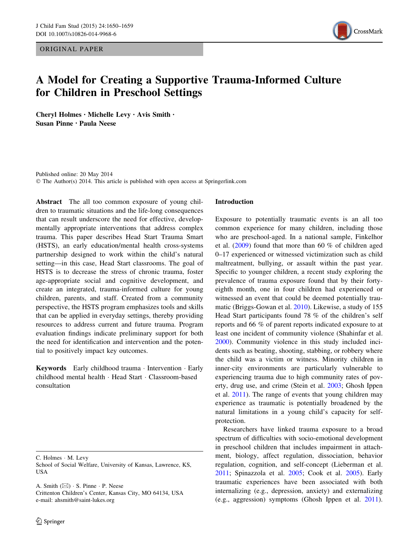ORIGINAL PAPER



# A Model for Creating a Supportive Trauma-Informed Culture for Children in Preschool Settings

Cheryl Holmes • Michelle Levy • Avis Smith • Susan Pinne • Paula Neese

Published online: 20 May 2014 © The Author(s) 2014. This article is published with open access at Springerlink.com

Abstract The all too common exposure of young children to traumatic situations and the life-long consequences that can result underscore the need for effective, developmentally appropriate interventions that address complex trauma. This paper describes Head Start Trauma Smart (HSTS), an early education/mental health cross-systems partnership designed to work within the child's natural setting—in this case, Head Start classrooms. The goal of HSTS is to decrease the stress of chronic trauma, foster age-appropriate social and cognitive development, and create an integrated, trauma-informed culture for young children, parents, and staff. Created from a community perspective, the HSTS program emphasizes tools and skills that can be applied in everyday settings, thereby providing resources to address current and future trauma. Program evaluation findings indicate preliminary support for both the need for identification and intervention and the potential to positively impact key outcomes.

Keywords Early childhood trauma · Intervention · Early childhood mental health - Head Start - Classroom-based consultation

C. Holmes - M. Levy

School of Social Welfare, University of Kansas, Lawrence, KS, USA

A. Smith  $(\boxtimes) \cdot$  S. Pinne  $\cdot$  P. Neese Crittenton Children's Center, Kansas City, MO 64134, USA e-mail: ahsmith@saint-lukes.org

# Introduction

Exposure to potentially traumatic events is an all too common experience for many children, including those who are preschool-aged. In a national sample, Finkelhor et al. ([2009\)](#page-9-0) found that more than 60 % of children aged 0–17 experienced or witnessed victimization such as child maltreatment, bullying, or assault within the past year. Specific to younger children, a recent study exploring the prevalence of trauma exposure found that by their fortyeighth month, one in four children had experienced or witnessed an event that could be deemed potentially traumatic (Briggs-Gowan et al. [2010](#page-9-0)). Likewise, a study of 155 Head Start participants found 78 % of the children's self reports and 66 % of parent reports indicated exposure to at least one incident of community violence (Shahinfar et al. [2000](#page-9-0)). Community violence in this study included incidents such as beating, shooting, stabbing, or robbery where the child was a victim or witness. Minority children in inner-city environments are particularly vulnerable to experiencing trauma due to high community rates of poverty, drug use, and crime (Stein et al. [2003](#page-9-0); Ghosh Ippen et al. [2011\)](#page-9-0). The range of events that young children may experience as traumatic is potentially broadened by the natural limitations in a young child's capacity for selfprotection.

Researchers have linked trauma exposure to a broad spectrum of difficulties with socio-emotional development in preschool children that includes impairment in attachment, biology, affect regulation, dissociation, behavior regulation, cognition, and self-concept (Lieberman et al. [2011](#page-9-0); Spinazzola et al. [2005](#page-9-0); Cook et al. [2005\)](#page-9-0). Early traumatic experiences have been associated with both internalizing (e.g., depression, anxiety) and externalizing (e.g., aggression) symptoms (Ghosh Ippen et al. [2011](#page-9-0)).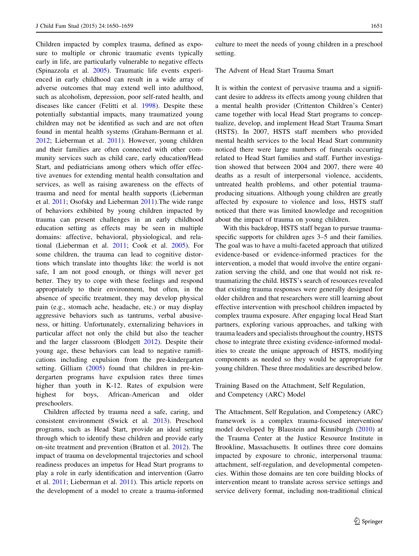Children impacted by complex trauma, defined as exposure to multiple or chronic traumatic events typically early in life, are particularly vulnerable to negative effects (Spinazzola et al. [2005](#page-9-0)). Traumatic life events experienced in early childhood can result in a wide array of adverse outcomes that may extend well into adulthood, such as alcoholism, depression, poor self-rated health, and diseases like cancer (Felitti et al. [1998](#page-9-0)). Despite these potentially substantial impacts, many traumatized young children may not be identified as such and are not often found in mental health systems (Graham-Bermann et al. [2012;](#page-9-0) Lieberman et al. [2011\)](#page-9-0). However, young children and their families are often connected with other community services such as child care, early education/Head Start, and pediatricians among others which offer effective avenues for extending mental health consultation and services, as well as raising awareness on the effects of trauma and need for mental health supports (Lieberman et al. [2011](#page-9-0); Osofsky and Lieberman [2011\)](#page-9-0).The wide range of behaviors exhibited by young children impacted by trauma can present challenges in an early childhood education setting as effects may be seen in multiple domains: affective, behavioral, physiological, and relational (Lieberman et al. [2011](#page-9-0); Cook et al. [2005\)](#page-9-0). For some children, the trauma can lead to cognitive distortions which translate into thoughts like: the world is not safe, I am not good enough, or things will never get better. They try to cope with these feelings and respond appropriately to their environment, but often, in the absence of specific treatment, they may develop physical pain (e.g., stomach ache, headache, etc.) or may display aggressive behaviors such as tantrums, verbal abusiveness, or hitting. Unfortunately, externalizing behaviors in particular affect not only the child but also the teacher and the larger classroom (Blodgett [2012](#page-9-0)). Despite their young age, these behaviors can lead to negative ramifications including expulsion from the pre-kindergarten setting. Gilliam ([2005\)](#page-9-0) found that children in pre-kindergarten programs have expulsion rates three times higher than youth in K-12. Rates of expulsion were highest for boys, African-American and older preschoolers.

Children affected by trauma need a safe, caring, and consistent environment (Swick et al. [2013\)](#page-9-0). Preschool programs, such as Head Start, provide an ideal setting through which to identify these children and provide early on-site treatment and prevention (Bratton et al. [2012\)](#page-9-0). The impact of trauma on developmental trajectories and school readiness produces an impetus for Head Start programs to play a role in early identification and intervention (Garro et al. [2011](#page-9-0); Lieberman et al. [2011](#page-9-0)). This article reports on the development of a model to create a trauma-informed culture to meet the needs of young children in a preschool setting.

## The Advent of Head Start Trauma Smart

It is within the context of pervasive trauma and a significant desire to address its effects among young children that a mental health provider (Crittenton Children's Center) came together with local Head Start programs to conceptualize, develop, and implement Head Start Trauma Smart (HSTS). In 2007, HSTS staff members who provided mental health services to the local Head Start community noticed there were large numbers of funerals occurring related to Head Start families and staff. Further investigation showed that between 2004 and 2007, there were 40 deaths as a result of interpersonal violence, accidents, untreated health problems, and other potential traumaproducing situations. Although young children are greatly affected by exposure to violence and loss, HSTS staff noticed that there was limited knowledge and recognition about the impact of trauma on young children.

With this backdrop, HSTS staff began to pursue traumaspecific supports for children ages 3–5 and their families. The goal was to have a multi-faceted approach that utilized evidence-based or evidence-informed practices for the intervention, a model that would involve the entire organization serving the child, and one that would not risk retraumatizing the child. HSTS's search of resources revealed that existing trauma responses were generally designed for older children and that researchers were still learning about effective intervention with preschool children impacted by complex trauma exposure. After engaging local Head Start partners, exploring various approaches, and talking with trauma leaders and specialists throughout the country, HSTS chose to integrate three existing evidence-informed modalities to create the unique approach of HSTS, modifying components as needed so they would be appropriate for young children. These three modalities are described below.

# Training Based on the Attachment, Self Regulation, and Competency (ARC) Model

The Attachment, Self Regulation, and Competency (ARC) framework is a complex trauma-focused intervention/ model developed by Blaustein and Kinniburgh [\(2010](#page-9-0)) at the Trauma Center at the Justice Resource Institute in Brookline, Massachusetts. It outlines three core domains impacted by exposure to chronic, interpersonal trauma: attachment, self-regulation, and developmental competencies. Within those domains are ten core building blocks of intervention meant to translate across service settings and service delivery format, including non-traditional clinical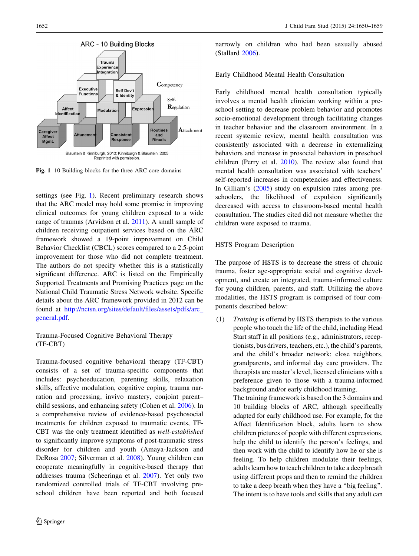

Fig. 1 10 Building blocks for the three ARC core domains

settings (see Fig. 1). Recent preliminary research shows that the ARC model may hold some promise in improving clinical outcomes for young children exposed to a wide range of traumas (Arvidson et al. [2011\)](#page-9-0). A small sample of children receiving outpatient services based on the ARC framework showed a 19-point improvement on Child Behavior Checklist (CBCL) scores compared to a 2.5-point improvement for those who did not complete treatment. The authors do not specify whether this is a statistically significant difference. ARC is listed on the Empirically Supported Treatments and Promising Practices page on the National Child Traumatic Stress Network website. Specific details about the ARC framework provided in 2012 can be found at [http://nctsn.org/sites/default/files/assets/pdfs/arc\\_](http://nctsn.org/sites/default/files/assets/pdfs/arc_general.pdf) [general.pdf](http://nctsn.org/sites/default/files/assets/pdfs/arc_general.pdf).

Trauma-Focused Cognitive Behavioral Therapy (TF-CBT)

Trauma-focused cognitive behavioral therapy (TF-CBT) consists of a set of trauma-specific components that includes: psychoeducation, parenting skills, relaxation skills, affective modulation, cognitive coping, trauma narration and processing, invivo mastery, conjoint parent– child sessions, and enhancing safety (Cohen et al. [2006](#page-9-0)). In a comprehensive review of evidence-based psychosocial treatments for children exposed to traumatic events, TF-CBT was the only treatment identified as well-established to significantly improve symptoms of post-traumatic stress disorder for children and youth (Amaya-Jackson and DeRosa [2007;](#page-9-0) Silverman et al. [2008\)](#page-9-0). Young children can cooperate meaningfully in cognitive-based therapy that addresses trauma (Scheeringa et al. [2007](#page-9-0)). Yet only two randomized controlled trials of TF-CBT involving preschool children have been reported and both focused

narrowly on children who had been sexually abused (Stallard [2006\)](#page-9-0).

## Early Childhood Mental Health Consultation

Early childhood mental health consultation typically involves a mental health clinician working within a preschool setting to decrease problem behavior and promotes socio-emotional development through facilitating changes in teacher behavior and the classroom environment. In a recent systemic review, mental health consultation was consistently associated with a decrease in externalizing behaviors and increase in prosocial behaviors in preschool children (Perry et al. [2010\)](#page-9-0). The review also found that mental health consultation was associated with teachers' self-reported increases in competencies and effectiveness. In Gilliam's ([2005\)](#page-9-0) study on expulsion rates among preschoolers, the likelihood of expulsion significantly decreased with access to classroom-based mental health consultation. The studies cited did not measure whether the children were exposed to trauma.

# HSTS Program Description

The purpose of HSTS is to decrease the stress of chronic trauma, foster age-appropriate social and cognitive development, and create an integrated, trauma-informed culture for young children, parents, and staff. Utilizing the above modalities, the HSTS program is comprised of four components described below:

(1) Training is offered by HSTS therapists to the various people who touch the life of the child, including Head Start staff in all positions (e.g., administrators, receptionists, bus drivers, teachers, etc.), the child's parents, and the child's broader network: close neighbors, grandparents, and informal day care providers. The therapists are master's level, licensed clinicians with a preference given to those with a trauma-informed background and/or early childhood training.

> The training framework is based on the 3 domains and 10 building blocks of ARC, although specifically adapted for early childhood use. For example, for the Affect Identification block, adults learn to show children pictures of people with different expressions, help the child to identify the person's feelings, and then work with the child to identify how he or she is feeling. To help children modulate their feelings, adults learn how to teach children to take a deep breath using different props and then to remind the children to take a deep breath when they have a ''big feeling''. The intent is to have tools and skills that any adult can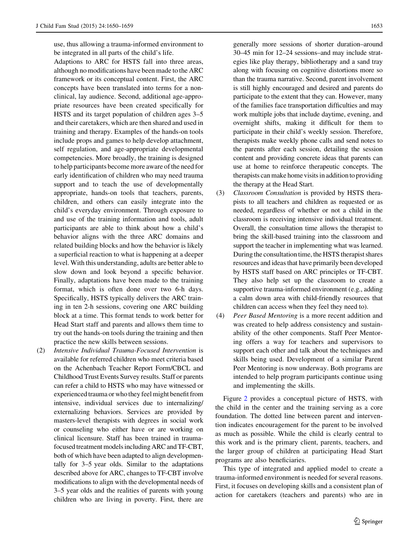use, thus allowing a trauma-informed environment to be integrated in all parts of the child's life.

Adaptions to ARC for HSTS fall into three areas, although no modifications have been made to the ARC framework or its conceptual content. First, the ARC concepts have been translated into terms for a nonclinical, lay audience. Second, additional age-appropriate resources have been created specifically for HSTS and its target population of children ages 3–5 and their caretakers, which are then shared and used in training and therapy. Examples of the hands-on tools include props and games to help develop attachment, self regulation, and age-appropriate developmental competencies. More broadly, the training is designed to help participants become more aware of the need for early identification of children who may need trauma support and to teach the use of developmentally appropriate, hands-on tools that teachers, parents, children, and others can easily integrate into the child's everyday environment. Through exposure to and use of the training information and tools, adult participants are able to think about how a child's behavior aligns with the three ARC domains and related building blocks and how the behavior is likely a superficial reaction to what is happening at a deeper level. With this understanding, adults are better able to slow down and look beyond a specific behavior. Finally, adaptations have been made to the training format, which is often done over two 6-h days. Specifically, HSTS typically delivers the ARC training in ten 2-h sessions, covering one ARC building block at a time. This format tends to work better for Head Start staff and parents and allows them time to try out the hands-on tools during the training and then practice the new skills between sessions.

(2) Intensive Individual Trauma-Focused Intervention is available for referred children who meet criteria based on the Achenbach Teacher Report Form/CBCL and Childhood Trust Events Survey results. Staff or parents can refer a child to HSTS who may have witnessed or experienced trauma or who they feel might benefit from intensive, individual services due to internalizing/ externalizing behaviors. Services are provided by masters-level therapists with degrees in social work or counseling who either have or are working on clinical licensure. Staff has been trained in traumafocused treatment models including ARC and TF-CBT, both of which have been adapted to align developmentally for 3–5 year olds. Similar to the adaptations described above for ARC, changes to TF-CBT involve modifications to align with the developmental needs of 3–5 year olds and the realities of parents with young children who are living in poverty. First, there are

generally more sessions of shorter duration–around 30–45 min for 12–24 sessions–and may include strategies like play therapy, bibliotherapy and a sand tray along with focusing on cognitive distortions more so than the trauma narrative. Second, parent involvement is still highly encouraged and desired and parents do participate to the extent that they can. However, many of the families face transportation difficulties and may work multiple jobs that include daytime, evening, and overnight shifts, making it difficult for them to participate in their child's weekly session. Therefore, therapists make weekly phone calls and send notes to the parents after each session, detailing the session content and providing concrete ideas that parents can use at home to reinforce therapeutic concepts. The therapists can make home visits in addition to providing the therapy at the Head Start.

- (3) Classroom Consultation is provided by HSTS therapists to all teachers and children as requested or as needed, regardless of whether or not a child in the classroom is receiving intensive individual treatment. Overall, the consultation time allows the therapist to bring the skill-based training into the classroom and support the teacher in implementing what was learned. During the consultation time, the HSTS therapist shares resources and ideas that have primarily been developed by HSTS staff based on ARC principles or TF-CBT. They also help set up the classroom to create a supportive trauma-informed environment (e.g., adding a calm down area with child-friendly resources that children can access when they feel they need to).
- (4) Peer Based Mentoring is a more recent addition and was created to help address consistency and sustainability of the other components. Staff Peer Mentoring offers a way for teachers and supervisors to support each other and talk about the techniques and skills being used. Development of a similar Parent Peer Mentoring is now underway. Both programs are intended to help program participants continue using and implementing the skills.

Figure [2](#page-4-0) provides a conceptual picture of HSTS, with the child in the center and the training serving as a core foundation. The dotted line between parent and intervention indicates encouragement for the parent to be involved as much as possible. While the child is clearly central to this work and is the primary client, parents, teachers, and the larger group of children at participating Head Start programs are also beneficiaries.

This type of integrated and applied model to create a trauma-informed environment is needed for several reasons. First, it focuses on developing skills and a consistent plan of action for caretakers (teachers and parents) who are in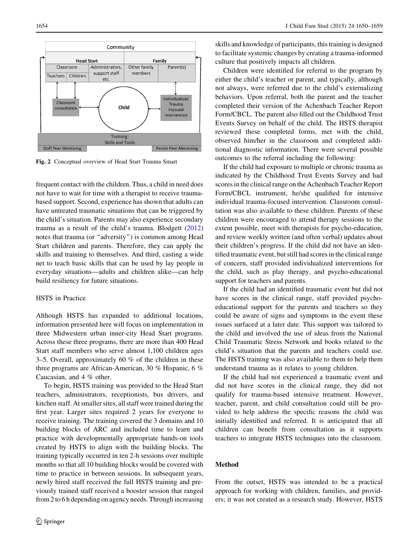<span id="page-4-0"></span>

Fig. 2 Conceptual overview of Head Start Trauma Smart

frequent contact with the children. Thus, a child in need does not have to wait for time with a therapist to receive traumabased support. Second, experience has shown that adults can have untreated traumatic situations that can be triggered by the child's situation. Parents may also experience secondary trauma as a result of the child's trauma. Blodgett ([2012\)](#page-9-0) notes that trauma (or ''adversity'') is common among Head Start children and parents. Therefore, they can apply the skills and training to themselves. And third, casting a wide net to teach basic skills that can be used by lay people in everyday situations—adults and children alike—can help build resiliency for future situations.

# HSTS in Practice

Although HSTS has expanded to additional locations, information presented here will focus on implementation in three Midwestern urban inner-city Head Start programs. Across these three programs, there are more than 400 Head Start staff members who serve almost 1,100 children ages 3–5. Overall, approximately 60 % of the children in these three programs are African-American, 30 % Hispanic, 6 % Caucasian, and 4 % other.

To begin, HSTS training was provided to the Head Start teachers, administrators, receptionists, bus drivers, and kitchen staff. At smaller sites, all staff were trained during the first year. Larger sites required 2 years for everyone to receive training. The training covered the 3 domains and 10 building blocks of ARC and included time to learn and practice with developmentally appropriate hands-on tools created by HSTS to align with the building blocks. The training typically occurred in ten 2-h sessions over multiple months so that all 10 building blocks would be covered with time to practice in between sessions. In subsequent years, newly hired staff received the full HSTS training and previously trained staff received a booster session that ranged from 2 to 6 h depending on agency needs. Through increasing skills and knowledge of participants, this training is designed to facilitate systemic changes by creating a trauma-informed culture that positively impacts all children.

Children were identified for referral to the program by either the child's teacher or parent, and typically, although not always, were referred due to the child's externalizing behaviors. Upon referral, both the parent and the teacher completed their version of the Achenbach Teacher Report Form/CBCL. The parent also filled out the Childhood Trust Events Survey on behalf of the child. The HSTS therapist reviewed these completed forms, met with the child, observed him/her in the classroom and completed additional diagnostic information. There were several possible outcomes to the referral including the following:

If the child had exposure to multiple or chronic trauma as indicated by the Childhood Trust Events Survey and had scores in the clinical range on the Achenbach Teacher Report Form/CBCL instrument, he/she qualified for intensive individual trauma-focused intervention. Classroom consultation was also available to these children. Parents of these children were encouraged to attend therapy sessions to the extent possible, meet with therapists for psycho-education, and review weekly written (and often verbal) updates about their children's progress. If the child did not have an identified traumatic event, but still had scores in the clinical range of concern, staff provided individualized interventions for the child, such as play therapy, and psycho-educational support for teachers and parents.

If the child had an identified traumatic event but did not have scores in the clinical range, staff provided psychoeducational support for the parents and teachers so they could be aware of signs and symptoms in the event these issues surfaced at a later date. This support was tailored to the child and involved the use of ideas from the National Child Traumatic Stress Network and books related to the child's situation that the parents and teachers could use. The HSTS training was also available to them to help them understand trauma as it relates to young children.

If the child had not experienced a traumatic event and did not have scores in the clinical range, they did not qualify for trauma-based intensive treatment. However, teacher, parent, and child consultation could still be provided to help address the specific reasons the child was initially identified and referred. It is anticipated that all children can benefit from consultation as it supports teachers to integrate HSTS techniques into the classroom.

# Method

From the outset, HSTS was intended to be a practical approach for working with children, families, and providers; it was not created as a research study. However, HSTS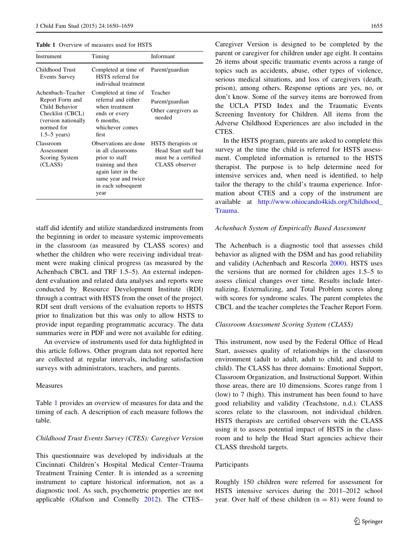Table 1 Overview of measures used for HSTS

| Instrument                                                                                                                        | Timing                                                                                                                                                       | Informant                                                                           |
|-----------------------------------------------------------------------------------------------------------------------------------|--------------------------------------------------------------------------------------------------------------------------------------------------------------|-------------------------------------------------------------------------------------|
| Childhood Trust<br>Events Survey                                                                                                  | Completed at time of<br>HSTS referral for<br>individual treatment                                                                                            | Parent/guardian                                                                     |
| Achenbach–Teacher<br>Report Form and<br>Child Behavior<br>Checklist (CBCL)<br>(version nationally<br>normed for<br>$1.5-5$ years) | Completed at time of<br>referral and either<br>when treatment<br>ends or every<br>6 months,<br>whichever comes<br>first                                      | Teacher<br>Parent/guardian<br>Other caregivers as<br>needed                         |
| Classroom<br>Assessment<br>Scoring System<br>(CLASS)                                                                              | Observations are done<br>in all classrooms<br>prior to staff<br>training and then<br>again later in the<br>same year and twice<br>in each subsequent<br>year | HSTS therapists or<br>Head Start staff but<br>must be a certified<br>CLASS observer |

staff did identify and utilize standardized instruments from the beginning in order to measure systemic improvements in the classroom (as measured by CLASS scores) and whether the children who were receiving individual treatment were making clinical progress (as measured by the Achenbach CBCL and TRF 1.5–5). An external independent evaluation and related data analyses and reports were conducted by Resource Development Institute (RDI) through a contract with HSTS from the onset of the project. RDI sent draft versions of the evaluation reports to HSTS prior to finalization but this was only to allow HSTS to provide input regarding programmatic accuracy. The data summaries were in PDF and were not available for editing.

An overview of instruments used for data highlighted in this article follows. Other program data not reported here are collected at regular intervals, including satisfaction surveys with administrators, teachers, and parents.

## Measures

Table 1 provides an overview of measures for data and the timing of each. A description of each measure follows the table.

#### Childhood Trust Events Survey (CTES): Caregiver Version

This questionnaire was developed by individuals at the Cincinnati Children's Hospital Medical Center–Trauma Treatment Training Center. It is intended as a screening instrument to capture historical information, not as a diagnostic tool. As such, psychometric properties are not applicable (Olafson and Connelly [2012\)](#page-9-0). The CTES– Caregiver Version is designed to be completed by the parent or caregiver for children under age eight. It contains 26 items about specific traumatic events across a range of topics such as accidents, abuse, other types of violence, serious medical situations, and loss of caregivers (death, prison), among others. Response options are yes, no, or don't know. Some of the survey items are borrowed from the UCLA PTSD Index and the Traumatic Events Screening Inventory for Children. All items from the Adverse Childhood Experiences are also included in the CTES.

In the HSTS program, parents are asked to complete this survey at the time the child is referred for HSTS assessment. Completed information is returned to the HSTS therapist. The purpose is to help determine need for intensive services and, when need is identified, to help tailor the therapy to the child's trauma experience. Information about CTES and a copy of the instrument are available at [http://www.ohiocando4kids.org/Childhood\\_](http://www.ohiocando4kids.org/Childhood_Trauma) [Trauma](http://www.ohiocando4kids.org/Childhood_Trauma).

#### Achenbach System of Empirically Based Assessment

The Achenbach is a diagnostic tool that assesses child behavior as aligned with the DSM and has good reliability and validity (Achenbach and Rescorla [2000\)](#page-9-0). HSTS uses the versions that are normed for children ages 1.5–5 to assess clinical changes over time. Results include Internalizing, Externalizing, and Total Problem scores along with scores for syndrome scales. The parent completes the CBCL and the teacher completes the Teacher Report Form.

#### Classroom Assessment Scoring System (CLASS)

This instrument, now used by the Federal Office of Head Start, assesses quality of relationships in the classroom environment (adult to adult, adult to child, and child to child). The CLASS has three domains: Emotional Support, Classroom Organization, and Instructional Support. Within those areas, there are 10 dimensions. Scores range from 1 (low) to 7 (high). This instrument has been found to have good reliability and validity (Teachstone, n.d.). CLASS scores relate to the classroom, not individual children. HSTS therapists are certified observers with the CLASS using it to assess potential impact of HSTS in the classroom and to help the Head Start agencies achieve their CLASS threshold targets.

#### Participants

Roughly 150 children were referred for assessment for HSTS intensive services during the 2011–2012 school year. Over half of these children  $(n = 81)$  were found to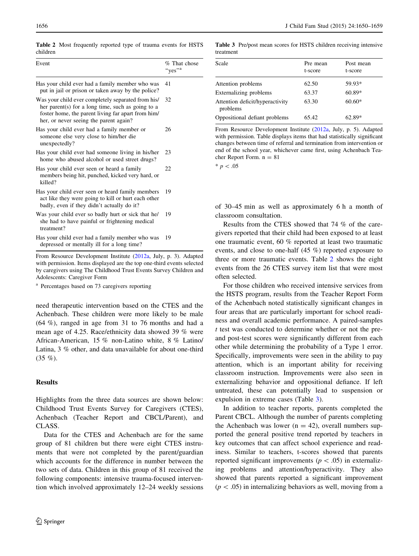Table 2 Most frequently reported type of trauma events for HSTS children

| Event                                                                                                                                                                                                   | % That chose<br>"yes" <sup>a</sup> |
|---------------------------------------------------------------------------------------------------------------------------------------------------------------------------------------------------------|------------------------------------|
| Has your child ever had a family member who was<br>put in jail or prison or taken away by the police?                                                                                                   | 41                                 |
| Was your child ever completely separated from his/<br>her parent(s) for a long time, such as going to a<br>foster home, the parent living far apart from him/<br>her, or never seeing the parent again? | 32                                 |
| Has your child ever had a family member or<br>someone else very close to him/her die<br>unexpectedly?                                                                                                   | 26                                 |
| Has your child ever had someone living in his/her<br>home who abused alcohol or used street drugs?                                                                                                      | 23                                 |
| Has your child ever seen or heard a family<br>members being hit, punched, kicked very hard, or<br>killed?                                                                                               | 22                                 |
| Has your child ever seen or heard family members<br>act like they were going to kill or hurt each other<br>badly, even if they didn't actually do it?                                                   | 19                                 |
| Was your child ever so badly hurt or sick that he/<br>she had to have painful or frightening medical<br>treatment?                                                                                      | 19                                 |
| Has your child ever had a family member who was<br>depressed or mentally ill for a long time?                                                                                                           | 19                                 |

From Resource Development Institute ([2012a](#page-9-0), July, p. 3). Adapted with permission. Items displayed are the top one-third events selected by caregivers using The Childhood Trust Events Survey Children and Adolescents: Caregiver Form

<sup>a</sup> Percentages based on 73 caregivers reporting

need therapeutic intervention based on the CTES and the Achenbach. These children were more likely to be male (64 %), ranged in age from 31 to 76 months and had a mean age of 4.25. Race/ethnicity data showed 39 % were African-American, 15 % non-Latino white, 8 % Latino/ Latina, 3 % other, and data unavailable for about one-third (35 %).

## Results

Highlights from the three data sources are shown below: Childhood Trust Events Survey for Caregivers (CTES), Achenbach (Teacher Report and CBCL/Parent), and CLASS.

Data for the CTES and Achenbach are for the same group of 81 children but there were eight CTES instruments that were not completed by the parent/guardian which accounts for the difference in number between the two sets of data. Children in this group of 81 received the following components: intensive trauma-focused intervention which involved approximately 12–24 weekly sessions

Table 3 Pre/post mean scores for HSTS children receiving intensive treatment

| Scale                                       | Pre mean<br>t-score | Post mean<br>t-score |
|---------------------------------------------|---------------------|----------------------|
| Attention problems                          | 62.50               | 59.93*               |
| Externalizing problems                      | 63.37               | $60.89*$             |
| Attention deficit/hyperactivity<br>problems | 63.30               | $60.60*$             |
| Oppositional defiant problems               | 65.42               | 62.89*               |
|                                             |                     |                      |

From Resource Development Institute ([2012a](#page-9-0), July, p. 5). Adapted with permission. Table displays items that had statistically significant changes between time of referral and termination from intervention or end of the school year, whichever came first, using Achenbach Teacher Report Form.  $n = 81$ 

 $* p < .05$ 

of 30–45 min as well as approximately 6 h a month of classroom consultation.

Results from the CTES showed that 74 % of the caregivers reported that their child had been exposed to at least one traumatic event, 60 % reported at least two traumatic events, and close to one-half (45 %) reported exposure to three or more traumatic events. Table 2 shows the eight events from the 26 CTES survey item list that were most often selected.

For those children who received intensive services from the HSTS program, results from the Teacher Report Form of the Achenbach noted statistically significant changes in four areas that are particularly important for school readiness and overall academic performance. A paired-samples t test was conducted to determine whether or not the preand post-test scores were significantly different from each other while determining the probability of a Type 1 error. Specifically, improvements were seen in the ability to pay attention, which is an important ability for receiving classroom instruction. Improvements were also seen in externalizing behavior and oppositional defiance. If left untreated, these can potentially lead to suspension or expulsion in extreme cases (Table 3).

In addition to teacher reports, parents completed the Parent CBCL. Although the number of parents completing the Achenbach was lower ( $n = 42$ ), overall numbers supported the general positive trend reported by teachers in key outcomes that can affect school experience and readiness. Similar to teachers, t-scores showed that parents reported significant improvements ( $p < .05$ ) in externalizing problems and attention/hyperactivity. They also showed that parents reported a significant improvement  $(p\lt .05)$  in internalizing behaviors as well, moving from a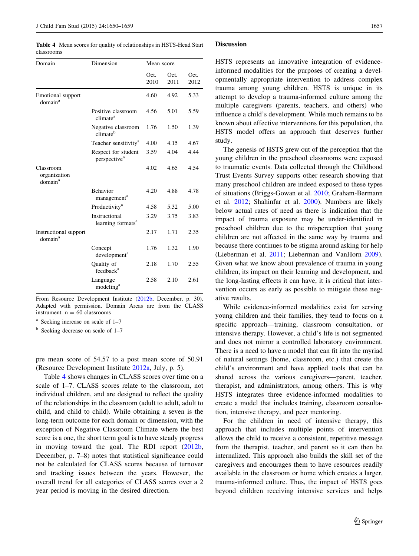Table 4 Mean scores for quality of relationships in HSTS-Head Start classrooms

| Domain                                           | Dimension                                       | Mean score   |              |              |
|--------------------------------------------------|-------------------------------------------------|--------------|--------------|--------------|
|                                                  |                                                 | Oct.<br>2010 | Oct.<br>2011 | Oct.<br>2012 |
| Emotional support<br>domain <sup>a</sup>         |                                                 | 4.60         | 4.92         | 5.33         |
|                                                  | Positive classroom<br>climate <sup>a</sup>      | 4.56         | 5.01         | 5.59         |
|                                                  | Negative classroom<br>climate <sup>b</sup>      | 1.76         | 1.50         | 1.39         |
|                                                  | Teacher sensitivity <sup>a</sup>                | 4.00         | 4.15         | 4.67         |
|                                                  | Respect for student<br>perspective <sup>a</sup> | 3.59         | 4.04         | 4.44         |
| Classroom<br>organization<br>domain <sup>a</sup> |                                                 | 4.02         | 4.65         | 4.54         |
|                                                  | <b>Behavior</b><br>management <sup>a</sup>      | 4.20         | 4.88         | 4.78         |
|                                                  | Productivity <sup>a</sup>                       | 4.58         | 5.32         | 5.00         |
|                                                  | Instructional<br>learning formats <sup>a</sup>  | 3.29         | 3.75         | 3.83         |
| Instructional support<br>domain <sup>a</sup>     |                                                 | 2.17         | 1.71         | 2.35         |
|                                                  | Concept<br>development <sup>a</sup>             | 1.76         | 1.32         | 1.90         |
|                                                  | Quality of<br>feedback <sup>a</sup>             | 2.18         | 1.70         | 2.55         |
|                                                  | Language<br>modeling <sup>a</sup>               | 2.58         | 2.10         | 2.61         |

From Resource Development Institute [\(2012b,](#page-9-0) December, p. 30). Adapted with permission. Domain Areas are from the CLASS instrument.  $n = 60$  classrooms

<sup>a</sup> Seeking increase on scale of 1–7

 $<sup>b</sup>$  Seeking decrease on scale of 1–7</sup>

pre mean score of 54.57 to a post mean score of 50.91 (Resource Development Institute [2012a,](#page-9-0) July, p. 5).

Table 4 shows changes in CLASS scores over time on a scale of 1–7. CLASS scores relate to the classroom, not individual children, and are designed to reflect the quality of the relationships in the classroom (adult to adult, adult to child, and child to child). While obtaining a seven is the long-term outcome for each domain or dimension, with the exception of Negative Classroom Climate where the best score is a one, the short term goal is to have steady progress in moving toward the goal. The RDI report ([2012b,](#page-9-0) December, p. 7–8) notes that statistical significance could not be calculated for CLASS scores because of turnover and tracking issues between the years. However, the overall trend for all categories of CLASS scores over a 2 year period is moving in the desired direction.

#### **Discussion**

HSTS represents an innovative integration of evidenceinformed modalities for the purposes of creating a developmentally appropriate intervention to address complex trauma among young children. HSTS is unique in its attempt to develop a trauma-informed culture among the multiple caregivers (parents, teachers, and others) who influence a child's development. While much remains to be known about effective interventions for this population, the HSTS model offers an approach that deserves further study.

The genesis of HSTS grew out of the perception that the young children in the preschool classrooms were exposed to traumatic events. Data collected through the Childhood Trust Events Survey supports other research showing that many preschool children are indeed exposed to these types of situations (Briggs-Gowan et al. [2010](#page-9-0); Graham-Bermann et al. [2012](#page-9-0); Shahinfar et al. [2000\)](#page-9-0). Numbers are likely below actual rates of need as there is indication that the impact of trauma exposure may be under-identified in preschool children due to the misperception that young children are not affected in the same way by trauma and because there continues to be stigma around asking for help (Lieberman et al. [2011](#page-9-0); Lieberman and VanHorn [2009](#page-9-0)). Given what we know about prevalence of trauma in young children, its impact on their learning and development, and the long-lasting effects it can have, it is critical that intervention occurs as early as possible to mitigate these negative results.

While evidence-informed modalities exist for serving young children and their families, they tend to focus on a specific approach—training, classroom consultation, or intensive therapy. However, a child's life is not segmented and does not mirror a controlled laboratory environment. There is a need to have a model that can fit into the myriad of natural settings (home, classroom, etc.) that create the child's environment and have applied tools that can be shared across the various caregivers—parent, teacher, therapist, and administrators, among others. This is why HSTS integrates three evidence-informed modalities to create a model that includes training, classroom consultation, intensive therapy, and peer mentoring.

For the children in need of intensive therapy, this approach that includes multiple points of intervention allows the child to receive a consistent, repetitive message from the therapist, teacher, and parent so it can then be internalized. This approach also builds the skill set of the caregivers and encourages them to have resources readily available in the classroom or home which creates a larger, trauma-informed culture. Thus, the impact of HSTS goes beyond children receiving intensive services and helps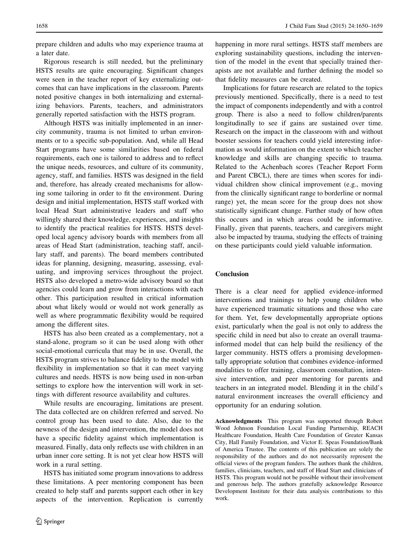prepare children and adults who may experience trauma at a later date.

Rigorous research is still needed, but the preliminary HSTS results are quite encouraging. Significant changes were seen in the teacher report of key externalizing outcomes that can have implications in the classroom. Parents noted positive changes in both internalizing and externalizing behaviors. Parents, teachers, and administrators generally reported satisfaction with the HSTS program.

Although HSTS was initially implemented in an innercity community, trauma is not limited to urban environments or to a specific sub-population. And, while all Head Start programs have some similarities based on federal requirements, each one is tailored to address and to reflect the unique needs, resources, and culture of its community, agency, staff, and families. HSTS was designed in the field and, therefore, has already created mechanisms for allowing some tailoring in order to fit the environment. During design and initial implementation, HSTS staff worked with local Head Start administrative leaders and staff who willingly shared their knowledge, experiences, and insights to identify the practical realities for HSTS. HSTS developed local agency advisory boards with members from all areas of Head Start (administration, teaching staff, ancillary staff, and parents). The board members contributed ideas for planning, designing, measuring, assessing, evaluating, and improving services throughout the project. HSTS also developed a metro-wide advisory board so that agencies could learn and grow from interactions with each other. This participation resulted in critical information about what likely would or would not work generally as well as where programmatic flexibility would be required among the different sites.

HSTS has also been created as a complementary, not a stand-alone, program so it can be used along with other social-emotional curricula that may be in use. Overall, the HSTS program strives to balance fidelity to the model with flexibility in implementation so that it can meet varying cultures and needs. HSTS is now being used in non-urban settings to explore how the intervention will work in settings with different resource availability and cultures.

While results are encouraging, limitations are present. The data collected are on children referred and served. No control group has been used to date. Also, due to the newness of the design and intervention, the model does not have a specific fidelity against which implementation is measured. Finally, data only reflects use with children in an urban inner core setting. It is not yet clear how HSTS will work in a rural setting.

HSTS has initiated some program innovations to address these limitations. A peer mentoring component has been created to help staff and parents support each other in key aspects of the intervention. Replication is currently happening in more rural settings. HSTS staff members are exploring sustainability questions, including the intervention of the model in the event that specially trained therapists are not available and further defining the model so that fidelity measures can be created.

Implications for future research are related to the topics previously mentioned. Specifically, there is a need to test the impact of components independently and with a control group. There is also a need to follow children/parents longitudinally to see if gains are sustained over time. Research on the impact in the classroom with and without booster sessions for teachers could yield interesting information as would information on the extent to which teacher knowledge and skills are changing specific to trauma. Related to the Achenbach scores (Teacher Report Form and Parent CBCL), there are times when scores for individual children show clinical improvement (e.g., moving from the clinically significant range to borderline or normal range) yet, the mean score for the group does not show statistically significant change. Further study of how often this occurs and in which areas could be informative. Finally, given that parents, teachers, and caregivers might also be impacted by trauma, studying the effects of training on these participants could yield valuable information.

## Conclusion

There is a clear need for applied evidence-informed interventions and trainings to help young children who have experienced traumatic situations and those who care for them. Yet, few developmentally appropriate options exist, particularly when the goal is not only to address the specific child in need but also to create an overall traumainformed model that can help build the resiliency of the larger community. HSTS offers a promising developmentally appropriate solution that combines evidence-informed modalities to offer training, classroom consultation, intensive intervention, and peer mentoring for parents and teachers in an integrated model. Blending it in the child's natural environment increases the overall efficiency and opportunity for an enduring solution.

Acknowledgments This program was supported through Robert Wood Johnson Foundation Local Funding Partnership, REACH Healthcare Foundation, Health Care Foundation of Greater Kansas City, Hall Family Foundation, and Victor E. Speas Foundation/Bank of America Trustee. The contents of this publication are solely the responsibility of the authors and do not necessarily represent the official views of the program funders. The authors thank the children, families, clinicians, teachers, and staff of Head Start and clinicians of HSTS. This program would not be possible without their involvement and generous help. The authors gratefully acknowledge Resource Development Institute for their data analysis contributions to this work.